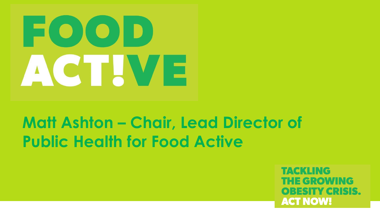# $E(O(O|D)$ ACTIVE

## **Matt Ashton – Chair, Lead Director of Public Health for Food Active**

TACKLING THE GROWING OBESTIY GRISIS. **ACT NOW!**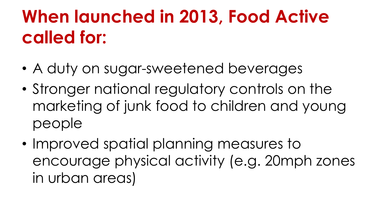# **When launched in 2013, Food Active called for:**

- A duty on sugar-sweetened beverages
- Stronger national regulatory controls on the marketing of junk food to children and young people
- Improved spatial planning measures to encourage physical activity (e.g. 20mph zones in urban areas)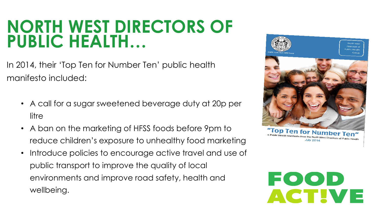### **NORTH WEST DIRECTORS OF PUBLIC HEALTH…**

In 2014, their 'Top Ten for Number Ten' public health manifesto included:

- A call for a sugar sweetened beverage duty at 20p per litre
- A ban on the marketing of HFSS foods before 9pm to reduce children's exposure to unhealthy food marketing
- Introduce policies to encourage active travel and use of public transport to improve the quality of local environments and improve road safety, health and wellbeing.



lic Health Manifesto fro

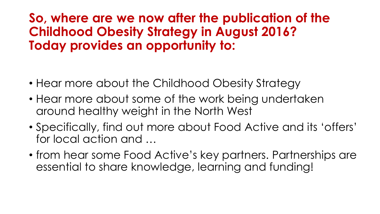#### **So, where are we now after the publication of the Childhood Obesity Strategy in August 2016? Today provides an opportunity to:**

- Hear more about the Childhood Obesity Strategy
- Hear more about some of the work being undertaken around healthy weight in the North West
- Specifically, find out more about Food Active and its 'offers' for local action and …
- from hear some Food Active's key partners. Partnerships are essential to share knowledge, learning and funding!